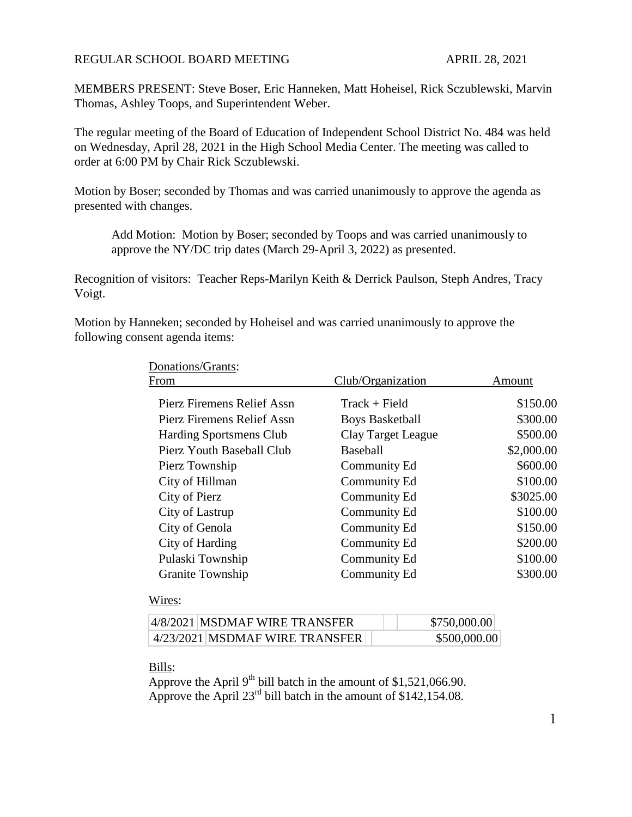#### REGULAR SCHOOL BOARD MEETING APRIL 28, 2021

MEMBERS PRESENT: Steve Boser, Eric Hanneken, Matt Hoheisel, Rick Sczublewski, Marvin Thomas, Ashley Toops, and Superintendent Weber.

The regular meeting of the Board of Education of Independent School District No. 484 was held on Wednesday, April 28, 2021 in the High School Media Center. The meeting was called to order at 6:00 PM by Chair Rick Sczublewski.

Motion by Boser; seconded by Thomas and was carried unanimously to approve the agenda as presented with changes.

Add Motion: Motion by Boser; seconded by Toops and was carried unanimously to approve the NY/DC trip dates (March 29-April 3, 2022) as presented.

Recognition of visitors: Teacher Reps-Marilyn Keith & Derrick Paulson, Steph Andres, Tracy Voigt.

Motion by Hanneken; seconded by Hoheisel and was carried unanimously to approve the following consent agenda items:

| Donations/Grants:              |                        |            |
|--------------------------------|------------------------|------------|
| From                           | Club/Organization      | Amount     |
| Pierz Firemens Relief Assn     | $Track + Field$        | \$150.00   |
| Pierz Firemens Relief Assn     | <b>Boys Basketball</b> | \$300.00   |
| <b>Harding Sportsmens Club</b> | Clay Target League     | \$500.00   |
| Pierz Youth Baseball Club      | <b>Baseball</b>        | \$2,000.00 |
| Pierz Township                 | Community Ed           | \$600.00   |
| City of Hillman                | Community Ed           | \$100.00   |
| City of Pierz                  | Community Ed           | \$3025.00  |
| City of Lastrup                | Community Ed           | \$100.00   |
| City of Genola                 | Community Ed           | \$150.00   |
| City of Harding                | Community Ed           | \$200.00   |
| Pulaski Township               | Community Ed           | \$100.00   |
| <b>Granite Township</b>        | Community Ed           | \$300.00   |

#### Wires:

| 4/8/2021   MSDMAF WIRE TRANSFER |                                | \$750,000.00 |
|---------------------------------|--------------------------------|--------------|
|                                 | 4/23/2021 MSDMAF WIRE TRANSFER | \$500,000.00 |

Bills:

Approve the April 9<sup>th</sup> bill batch in the amount of \$1,521,066.90. Approve the April 23<sup>rd</sup> bill batch in the amount of  $\frac{\$142,154.08}{\$142,154.08$ .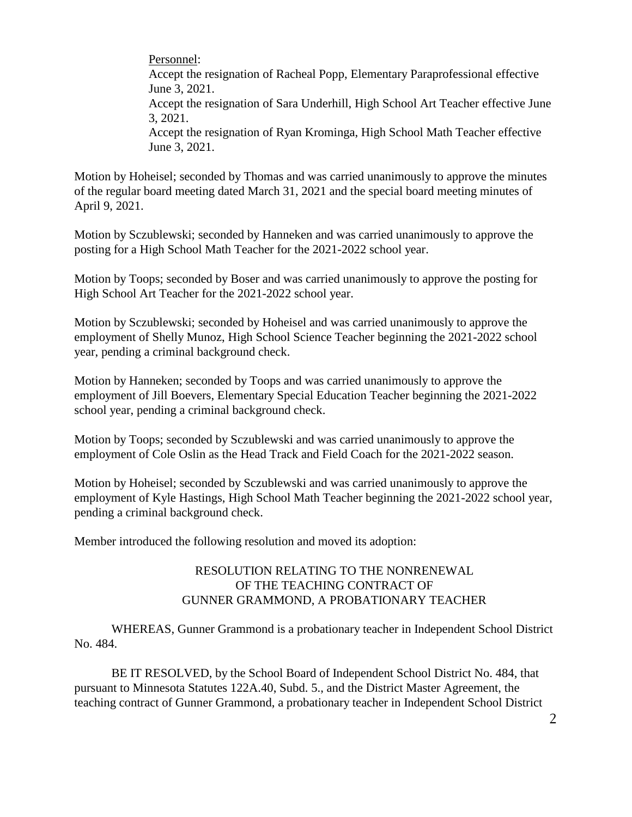Personnel:

Accept the resignation of Racheal Popp, Elementary Paraprofessional effective June 3, 2021.

Accept the resignation of Sara Underhill, High School Art Teacher effective June 3, 2021.

Accept the resignation of Ryan Krominga, High School Math Teacher effective June 3, 2021.

Motion by Hoheisel; seconded by Thomas and was carried unanimously to approve the minutes of the regular board meeting dated March 31, 2021 and the special board meeting minutes of April 9, 2021.

Motion by Sczublewski; seconded by Hanneken and was carried unanimously to approve the posting for a High School Math Teacher for the 2021-2022 school year.

Motion by Toops; seconded by Boser and was carried unanimously to approve the posting for High School Art Teacher for the 2021-2022 school year.

Motion by Sczublewski; seconded by Hoheisel and was carried unanimously to approve the employment of Shelly Munoz, High School Science Teacher beginning the 2021-2022 school year, pending a criminal background check.

Motion by Hanneken; seconded by Toops and was carried unanimously to approve the employment of Jill Boevers, Elementary Special Education Teacher beginning the 2021-2022 school year, pending a criminal background check.

Motion by Toops; seconded by Sczublewski and was carried unanimously to approve the employment of Cole Oslin as the Head Track and Field Coach for the 2021-2022 season.

Motion by Hoheisel; seconded by Sczublewski and was carried unanimously to approve the employment of Kyle Hastings, High School Math Teacher beginning the 2021-2022 school year, pending a criminal background check.

Member introduced the following resolution and moved its adoption:

## RESOLUTION RELATING TO THE NONRENEWAL OF THE TEACHING CONTRACT OF GUNNER GRAMMOND, A PROBATIONARY TEACHER

WHEREAS, Gunner Grammond is a probationary teacher in Independent School District No. 484.

BE IT RESOLVED, by the School Board of Independent School District No. 484, that pursuant to Minnesota Statutes 122A.40, Subd. 5., and the District Master Agreement, the teaching contract of Gunner Grammond, a probationary teacher in Independent School District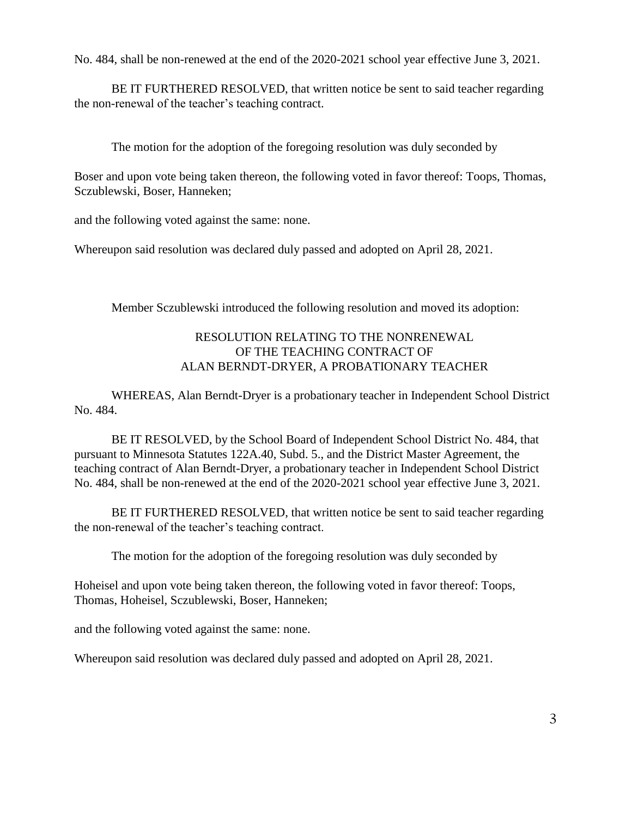No. 484, shall be non-renewed at the end of the 2020-2021 school year effective June 3, 2021.

BE IT FURTHERED RESOLVED, that written notice be sent to said teacher regarding the non-renewal of the teacher's teaching contract.

The motion for the adoption of the foregoing resolution was duly seconded by

Boser and upon vote being taken thereon, the following voted in favor thereof: Toops, Thomas, Sczublewski, Boser, Hanneken;

and the following voted against the same: none.

Whereupon said resolution was declared duly passed and adopted on April 28, 2021.

Member Sczublewski introduced the following resolution and moved its adoption:

## RESOLUTION RELATING TO THE NONRENEWAL OF THE TEACHING CONTRACT OF ALAN BERNDT-DRYER, A PROBATIONARY TEACHER

WHEREAS, Alan Berndt-Dryer is a probationary teacher in Independent School District No. 484.

BE IT RESOLVED, by the School Board of Independent School District No. 484, that pursuant to Minnesota Statutes 122A.40, Subd. 5., and the District Master Agreement, the teaching contract of Alan Berndt-Dryer, a probationary teacher in Independent School District No. 484, shall be non-renewed at the end of the 2020-2021 school year effective June 3, 2021.

BE IT FURTHERED RESOLVED, that written notice be sent to said teacher regarding the non-renewal of the teacher's teaching contract.

The motion for the adoption of the foregoing resolution was duly seconded by

Hoheisel and upon vote being taken thereon, the following voted in favor thereof: Toops, Thomas, Hoheisel, Sczublewski, Boser, Hanneken;

and the following voted against the same: none.

Whereupon said resolution was declared duly passed and adopted on April 28, 2021.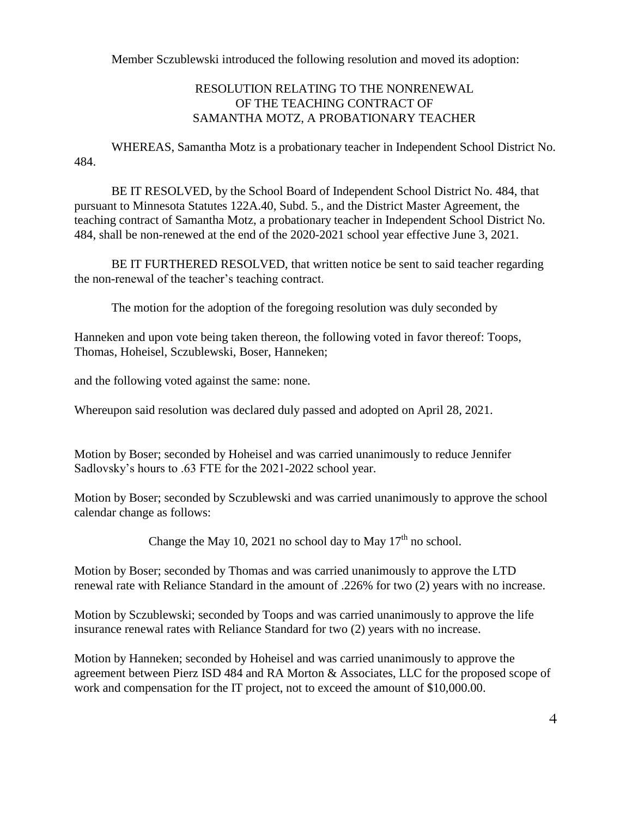Member Sczublewski introduced the following resolution and moved its adoption:

# RESOLUTION RELATING TO THE NONRENEWAL OF THE TEACHING CONTRACT OF SAMANTHA MOTZ, A PROBATIONARY TEACHER

WHEREAS, Samantha Motz is a probationary teacher in Independent School District No. 484.

BE IT RESOLVED, by the School Board of Independent School District No. 484, that pursuant to Minnesota Statutes 122A.40, Subd. 5., and the District Master Agreement, the teaching contract of Samantha Motz, a probationary teacher in Independent School District No. 484, shall be non-renewed at the end of the 2020-2021 school year effective June 3, 2021.

BE IT FURTHERED RESOLVED, that written notice be sent to said teacher regarding the non-renewal of the teacher's teaching contract.

The motion for the adoption of the foregoing resolution was duly seconded by

Hanneken and upon vote being taken thereon, the following voted in favor thereof: Toops, Thomas, Hoheisel, Sczublewski, Boser, Hanneken;

and the following voted against the same: none.

Whereupon said resolution was declared duly passed and adopted on April 28, 2021.

Motion by Boser; seconded by Hoheisel and was carried unanimously to reduce Jennifer Sadlovsky's hours to .63 FTE for the 2021-2022 school year.

Motion by Boser; seconded by Sczublewski and was carried unanimously to approve the school calendar change as follows:

Change the May 10, 2021 no school day to May  $17<sup>th</sup>$  no school.

Motion by Boser; seconded by Thomas and was carried unanimously to approve the LTD renewal rate with Reliance Standard in the amount of .226% for two (2) years with no increase.

Motion by Sczublewski; seconded by Toops and was carried unanimously to approve the life insurance renewal rates with Reliance Standard for two (2) years with no increase.

Motion by Hanneken; seconded by Hoheisel and was carried unanimously to approve the agreement between Pierz ISD 484 and RA Morton & Associates, LLC for the proposed scope of work and compensation for the IT project, not to exceed the amount of \$10,000.00.